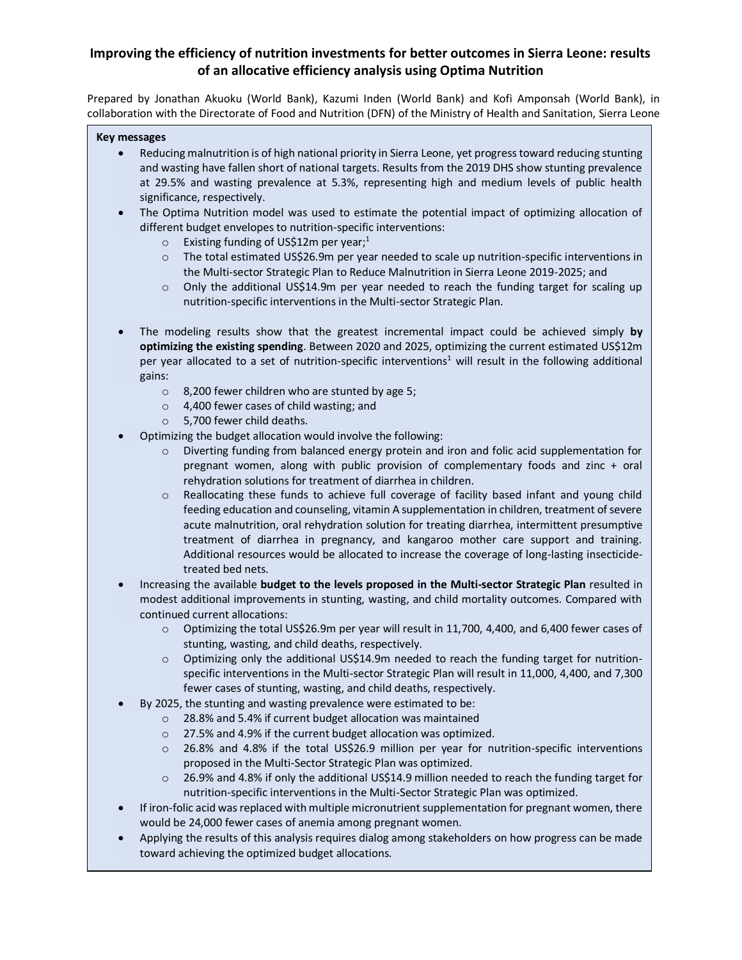# **Improving the efficiency of nutrition investments for better outcomes in Sierra Leone: results of an allocative efficiency analysis using Optima Nutrition**

Prepared by Jonathan Akuoku (World Bank), Kazumi Inden (World Bank) and Kofi Amponsah (World Bank), in collaboration with the Directorate of Food and Nutrition (DFN) of the Ministry of Health and Sanitation, Sierra Leone

#### **Key messages**

- Reducing malnutrition is of high national priority in Sierra Leone, yet progress toward reducing stunting and wasting have fallen short of national targets. Results from the 2019 DHS show stunting prevalence at 29.5% and wasting prevalence at 5.3%, representing high and medium levels of public health significance, respectively.
- The Optima Nutrition model was used to estimate the potential impact of optimizing allocation of different budget envelopes to nutrition-specific interventions:
	- o Existing funding of US\$12m per yea[r;](#page-1-0)<sup>1</sup>
	- o The total estimated US\$26.9m per year needed to scale up nutrition-specific interventions in the Multi-sector Strategic Plan to Reduce Malnutrition in Sierra Leone 2019-2025; and
	- o Only the additional US\$14.9m per year needed to reach the funding target for scaling up nutrition-specific interventions in the Multi-sector Strategic Plan.
- The modeling results show that the greatest incremental impact could be achieved simply **by optimizing the existing spending**. Between 2020 and 2025, optimizing the current estimated US\$12m per year allocated to a [s](#page-1-0)et of nutrition-specific interventions<sup>1</sup> will result in the following additional gains:
	- o 8,200 fewer children who are stunted by age 5;
	- o 4,400 fewer cases of child wasting; and
	- o 5,700 fewer child deaths.
- Optimizing the budget allocation would involve the following:
	- $\circ$  Diverting funding from balanced energy protein and iron and folic acid supplementation for pregnant women, along with public provision of complementary foods and zinc + oral rehydration solutions for treatment of diarrhea in children.
	- o Reallocating these funds to achieve full coverage of facility based infant and young child feeding education and counseling, vitamin A supplementation in children, treatment of severe acute malnutrition, oral rehydration solution for treating diarrhea, intermittent presumptive treatment of diarrhea in pregnancy, and kangaroo mother care support and training. Additional resources would be allocated to increase the coverage of long-lasting insecticidetreated bed nets.
- Increasing the available **budget to the levels proposed in the Multi-sector Strategic Plan** resulted in modest additional improvements in stunting, wasting, and child mortality outcomes. Compared with continued current allocations:
	- o Optimizing the total US\$26.9m per year will result in 11,700, 4,400, and 6,400 fewer cases of stunting, wasting, and child deaths, respectively.
	- $\circ$  Optimizing only the additional US\$14.9m needed to reach the funding target for nutritionspecific interventions in the Multi-sector Strategic Plan will result in 11,000, 4,400, and 7,300 fewer cases of stunting, wasting, and child deaths, respectively.
- By 2025, the stunting and wasting prevalence were estimated to be:
	- o 28.8% and 5.4% if current budget allocation was maintained
	- o 27.5% and 4.9% if the current budget allocation was optimized.
	- $\circ$  26.8% and 4.8% if the total US\$26.9 million per year for nutrition-specific interventions proposed in the Multi-Sector Strategic Plan was optimized.
	- $\circ$  26.9% and 4.8% if only the additional US\$14.9 million needed to reach the funding target for nutrition-specific interventions in the Multi-Sector Strategic Plan was optimized.
- If iron-folic acid was replaced with multiple micronutrient supplementation for pregnant women, there would be 24,000 fewer cases of anemia among pregnant women.
- Applying the results of this analysis requires dialog among stakeholders on how progress can be made toward achieving the optimized budget allocations.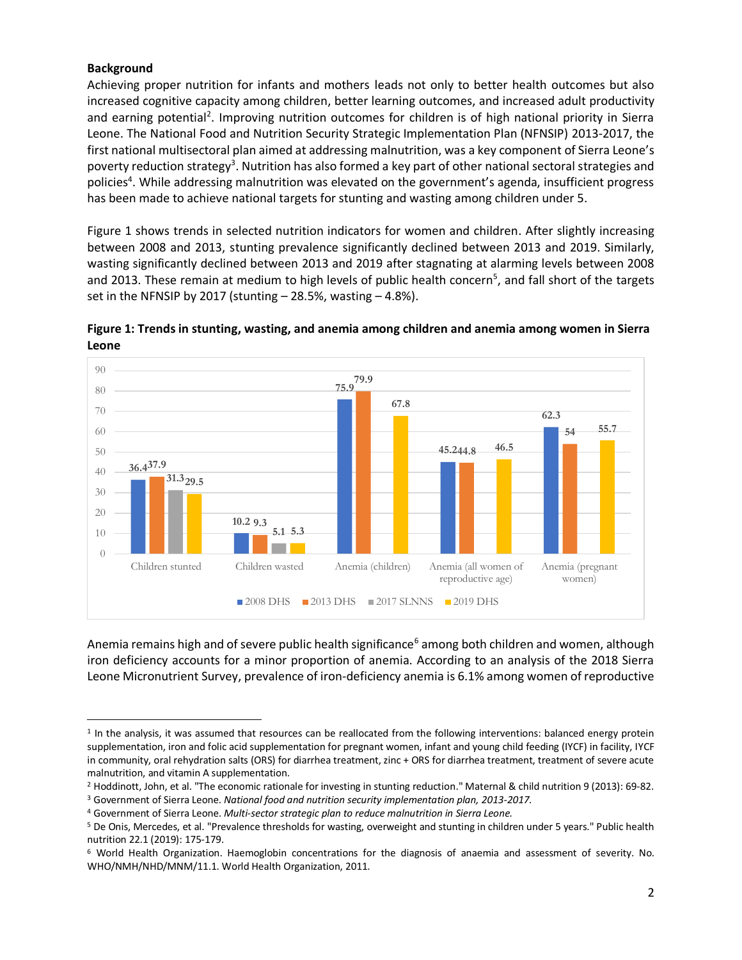## <span id="page-1-0"></span>**Background**

Achieving proper nutrition for infants and mothers leads not only to better health outcomes but also increased cognitive capacity among children, better learning outcomes, and increased adult productivity and earning potential<sup>2</sup>. Improving nutrition outcomes for children is of high national priority in Sierra Leone. The National Food and Nutrition Security Strategic Implementation Plan (NFNSIP) 2013-2017, the first national multisectoral plan aimed at addressing malnutrition, was a key component of Sierra Leone's poverty reduction strategy<sup>3</sup>. Nutrition has also formed a key part of other national sectoral strategies and policies<sup>4</sup>. While addressing malnutrition was elevated on the government's agenda, insufficient progress has been made to achieve national targets for stunting and wasting among children under 5.

Figure 1 shows trends in selected nutrition indicators for women and children. After slightly increasing between 2008 and 2013, stunting prevalence significantly declined between 2013 and 2019. Similarly, wasting significantly declined between 2013 and 2019 after stagnating at alarming levels between 2008 and 2013. These remain at medium to high levels of public health concern<sup>5</sup>, and fall short of the targets set in the NFNSIP by 2017 (stunting  $-$  28.5%, wasting  $-$  4.8%).



**Figure 1: Trends in stunting, wasting, and anemia among children and anemia among women in Sierra Leone**

Anemia remains high and of severe public health significance<sup>6</sup> among both children and women, although iron deficiency accounts for a minor proportion of anemia. According to an analysis of the 2018 Sierra Leone Micronutrient Survey, prevalence of iron-deficiency anemia is 6.1% among women of reproductive

<sup>&</sup>lt;sup>1</sup> In the analysis, it was assumed that resources can be reallocated from the following interventions: balanced energy protein supplementation, iron and folic acid supplementation for pregnant women, infant and young child feeding (IYCF) in facility, IYCF in community, oral rehydration salts (ORS) for diarrhea treatment, zinc + ORS for diarrhea treatment, treatment of severe acute malnutrition, and vitamin A supplementation.

<sup>2</sup> Hoddinott, John, et al. "The economic rationale for investing in stunting reduction." Maternal & child nutrition 9 (2013): 69-82.

<sup>3</sup> Government of Sierra Leone. *National food and nutrition security implementation plan, 2013-2017.* 

<sup>4</sup> Government of Sierra Leone. *Multi-sector strategic plan to reduce malnutrition in Sierra Leone.*

<sup>5</sup> De Onis, Mercedes, et al. "Prevalence thresholds for wasting, overweight and stunting in children under 5 years." Public health nutrition 22.1 (2019): 175-179.

<sup>6</sup> World Health Organization. Haemoglobin concentrations for the diagnosis of anaemia and assessment of severity. No. WHO/NMH/NHD/MNM/11.1. World Health Organization, 2011.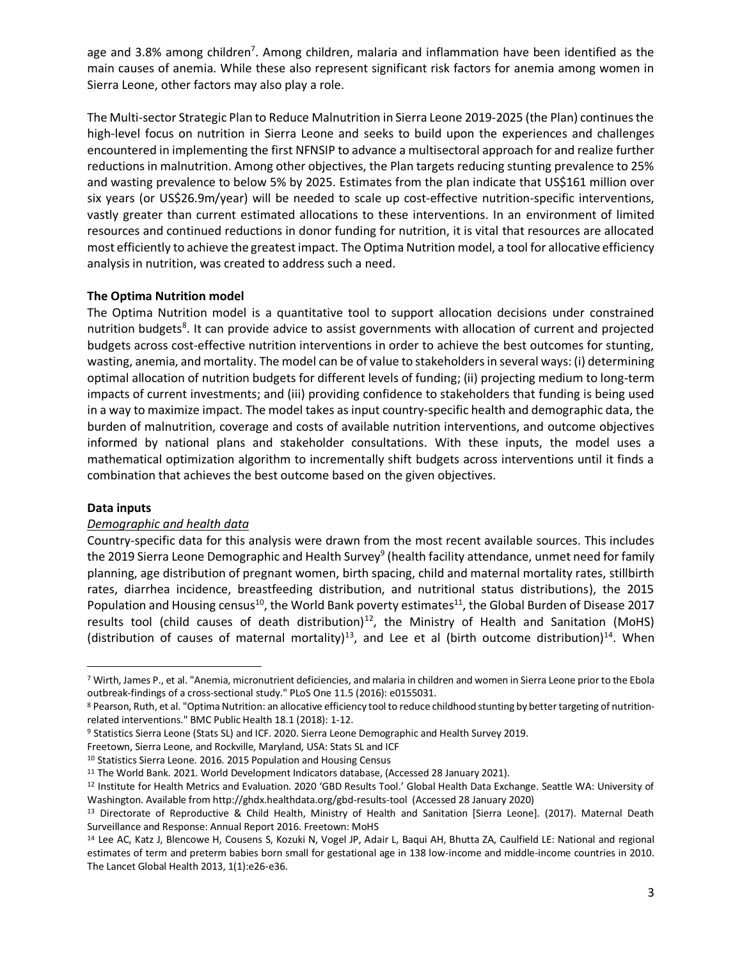age and 3.8% among children<sup>7</sup>. Among children, malaria and inflammation have been identified as the main causes of anemia. While these also represent significant risk factors for anemia among women in Sierra Leone, other factors may also play a role.

The Multi-sector Strategic Plan to Reduce Malnutrition in Sierra Leone 2019-2025 (the Plan) continues the high-level focus on nutrition in Sierra Leone and seeks to build upon the experiences and challenges encountered in implementing the first NFNSIP to advance a multisectoral approach for and realize further reductions in malnutrition. Among other objectives, the Plan targets reducing stunting prevalence to 25% and wasting prevalence to below 5% by 2025. Estimates from the plan indicate that US\$161 million over six years (or US\$26.9m/year) will be needed to scale up cost-effective nutrition-specific interventions, vastly greater than current estimated allocations to these interventions. In an environment of limited resources and continued reductions in donor funding for nutrition, it is vital that resources are allocated most efficiently to achieve the greatest impact. The Optima Nutrition model, a tool for allocative efficiency analysis in nutrition, was created to address such a need.

## **The Optima Nutrition model**

The Optima Nutrition model is a quantitative tool to support allocation decisions under constrained nutrition budgets<sup>8</sup>. It can provide advice to assist governments with allocation of current and projected budgets across cost-effective nutrition interventions in order to achieve the best outcomes for stunting, wasting, anemia, and mortality. The model can be of value to stakeholders in several ways: (i) determining optimal allocation of nutrition budgets for different levels of funding; (ii) projecting medium to long-term impacts of current investments; and (iii) providing confidence to stakeholders that funding is being used in a way to maximize impact. The model takes as input country-specific health and demographic data, the burden of malnutrition, coverage and costs of available nutrition interventions, and outcome objectives informed by national plans and stakeholder consultations. With these inputs, the model uses a mathematical optimization algorithm to incrementally shift budgets across interventions until it finds a combination that achieves the best outcome based on the given objectives.

## **Data inputs**

## *Demographic and health data*

Country-specific data for this analysis were drawn from the most recent available sources. This includes the 2019 Sierra Leone Demographic and Health Survey<sup>9</sup> (health facility attendance, unmet need for family planning, age distribution of pregnant women, birth spacing, child and maternal mortality rates, stillbirth rates, diarrhea incidence, breastfeeding distribution, and nutritional status distributions), the 2015 Population and Housing census<sup>10</sup>, the World Bank poverty estimates<sup>11</sup>, the Global Burden of Disease 2017 results tool (child causes of death distribution)<sup>12</sup>, the Ministry of Health and Sanitation (MoHS) (distribution of causes of maternal mortality)<sup>13</sup>, and Lee et al (birth outcome distribution)<sup>14</sup>. When

<sup>7</sup> Wirth, James P., et al. "Anemia, micronutrient deficiencies, and malaria in children and women in Sierra Leone prior to the Ebola outbreak-findings of a cross-sectional study." PLoS One 11.5 (2016): e0155031.

<sup>8</sup> Pearson, Ruth, et al. "Optima Nutrition: an allocative efficiency tool to reduce childhood stunting by better targeting of nutritionrelated interventions." BMC Public Health 18.1 (2018): 1-12.

<sup>9</sup> Statistics Sierra Leone (Stats SL) and ICF. 2020. Sierra Leone Demographic and Health Survey 2019.

Freetown, Sierra Leone, and Rockville, Maryland, USA: Stats SL and ICF

<sup>&</sup>lt;sup>10</sup> Statistics Sierra Leone. 2016. 2015 Population and Housing Census

<sup>11</sup> The World Bank. 2021. World Development Indicators database, (Accessed 28 January 2021).

<sup>12</sup> Institute for Health Metrics and Evaluation. 2020 'GBD Results Tool.' Global Health Data Exchange. Seattle WA: University of Washington. Available from http://ghdx.healthdata.org/gbd-results-tool (Accessed 28 January 2020)

<sup>13</sup> Directorate of Reproductive & Child Health, Ministry of Health and Sanitation [Sierra Leone]. (2017). Maternal Death Surveillance and Response: Annual Report 2016. Freetown: MoHS

<sup>14</sup> Lee AC, Katz J, Blencowe H, Cousens S, Kozuki N, Vogel JP, Adair L, Baqui AH, Bhutta ZA, Caulfield LE: National and regional estimates of term and preterm babies born small for gestational age in 138 low-income and middle-income countries in 2010. The Lancet Global Health 2013, 1(1):e26-e36.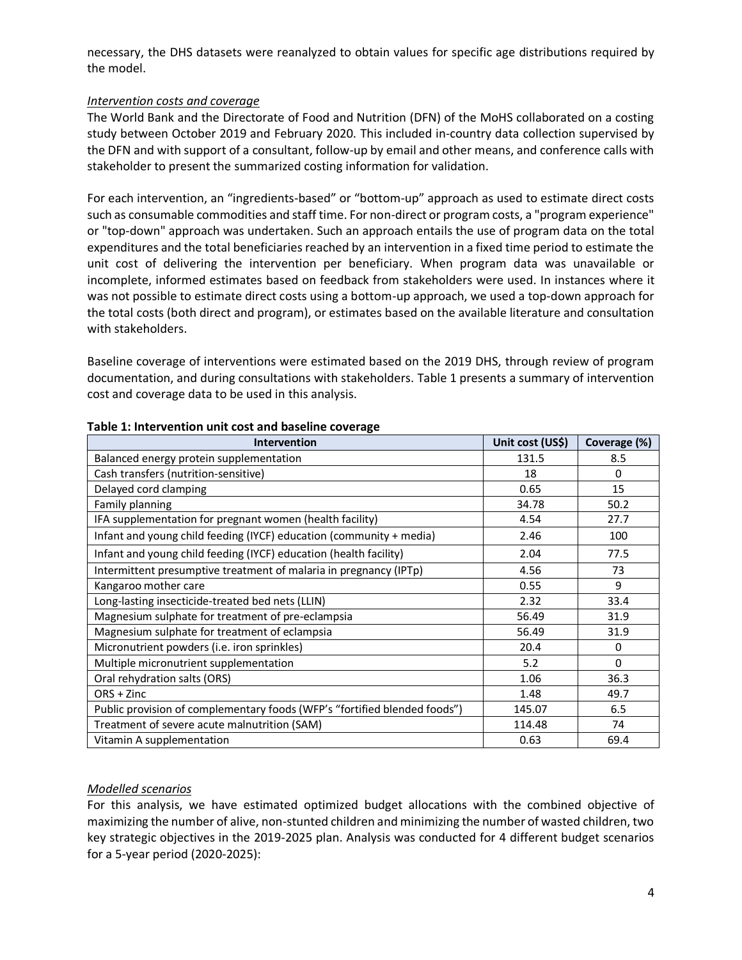necessary, the DHS datasets were reanalyzed to obtain values for specific age distributions required by the model.

## *Intervention costs and coverage*

The World Bank and the Directorate of Food and Nutrition (DFN) of the MoHS collaborated on a costing study between October 2019 and February 2020. This included in-country data collection supervised by the DFN and with support of a consultant, follow-up by email and other means, and conference calls with stakeholder to present the summarized costing information for validation.

For each intervention, an "ingredients-based" or "bottom-up" approach as used to estimate direct costs such as consumable commodities and staff time. For non-direct or program costs, a "program experience" or "top-down" approach was undertaken. Such an approach entails the use of program data on the total expenditures and the total beneficiaries reached by an intervention in a fixed time period to estimate the unit cost of delivering the intervention per beneficiary. When program data was unavailable or incomplete, informed estimates based on feedback from stakeholders were used. In instances where it was not possible to estimate direct costs using a bottom-up approach, we used a top-down approach for the total costs (both direct and program), or estimates based on the available literature and consultation with stakeholders.

Baseline coverage of interventions were estimated based on the 2019 DHS, through review of program documentation, and during consultations with stakeholders. Table 1 presents a summary of intervention cost and coverage data to be used in this analysis.

| <b>Intervention</b>                                                       | Unit cost (US\$) | Coverage (%) |
|---------------------------------------------------------------------------|------------------|--------------|
| Balanced energy protein supplementation                                   | 131.5            | 8.5          |
| Cash transfers (nutrition-sensitive)                                      | 18               | 0            |
| Delayed cord clamping                                                     | 0.65             | 15           |
| Family planning                                                           | 34.78            | 50.2         |
| IFA supplementation for pregnant women (health facility)                  | 4.54             | 27.7         |
| Infant and young child feeding (IYCF) education (community + media)       | 2.46             | 100          |
| Infant and young child feeding (IYCF) education (health facility)         | 2.04             | 77.5         |
| Intermittent presumptive treatment of malaria in pregnancy (IPTp)         | 4.56             | 73           |
| Kangaroo mother care                                                      | 0.55             | 9            |
| Long-lasting insecticide-treated bed nets (LLIN)                          | 2.32             | 33.4         |
| Magnesium sulphate for treatment of pre-eclampsia                         | 56.49            | 31.9         |
| Magnesium sulphate for treatment of eclampsia                             | 56.49            | 31.9         |
| Micronutrient powders (i.e. iron sprinkles)                               | 20.4             | 0            |
| Multiple micronutrient supplementation                                    | 5.2              | 0            |
| Oral rehydration salts (ORS)                                              | 1.06             | 36.3         |
| $ORS + Zinc$                                                              | 1.48             | 49.7         |
| Public provision of complementary foods (WFP's "fortified blended foods") | 145.07           | 6.5          |
| Treatment of severe acute malnutrition (SAM)                              | 114.48           | 74           |
| Vitamin A supplementation                                                 | 0.63             | 69.4         |

### **Table 1: Intervention unit cost and baseline coverage**

## *Modelled scenarios*

For this analysis, we have estimated optimized budget allocations with the combined objective of maximizing the number of alive, non-stunted children and minimizing the number of wasted children, two key strategic objectives in the 2019-2025 plan. Analysis was conducted for 4 different budget scenarios for a 5-year period (2020-2025):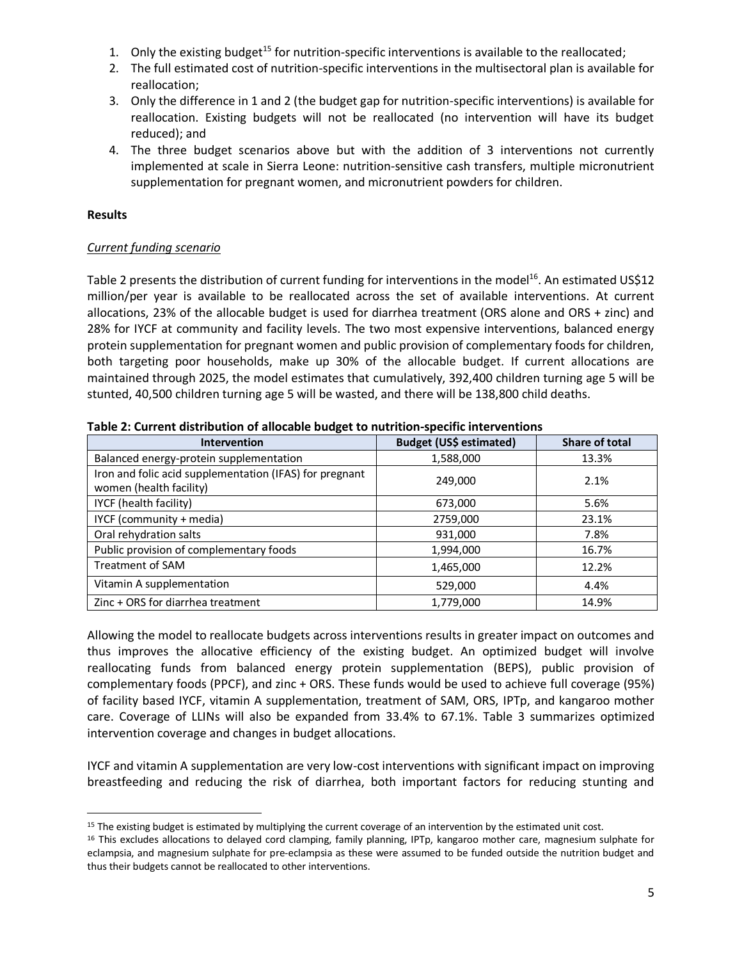- 1. Only the existing budget<sup>15</sup> for nutrition-specific interventions is available to the reallocated;
- 2. The full estimated cost of nutrition-specific interventions in the multisectoral plan is available for reallocation;
- 3. Only the difference in 1 and 2 (the budget gap for nutrition-specific interventions) is available for reallocation. Existing budgets will not be reallocated (no intervention will have its budget reduced); and
- 4. The three budget scenarios above but with the addition of 3 interventions not currently implemented at scale in Sierra Leone: nutrition-sensitive cash transfers, multiple micronutrient supplementation for pregnant women, and micronutrient powders for children.

## **Results**

## *Current funding scenario*

Table 2 presents the distribution of current funding for interventions in the model<sup>16</sup>. An estimated US\$12 million/per year is available to be reallocated across the set of available interventions. At current allocations, 23% of the allocable budget is used for diarrhea treatment (ORS alone and ORS + zinc) and 28% for IYCF at community and facility levels. The two most expensive interventions, balanced energy protein supplementation for pregnant women and public provision of complementary foods for children, both targeting poor households, make up 30% of the allocable budget. If current allocations are maintained through 2025, the model estimates that cumulatively, 392,400 children turning age 5 will be stunted, 40,500 children turning age 5 will be wasted, and there will be 138,800 child deaths.

| <b>Intervention</b>                                                                | <b>Budget (US\$ estimated)</b> | Share of total |  |  |
|------------------------------------------------------------------------------------|--------------------------------|----------------|--|--|
| Balanced energy-protein supplementation                                            | 1,588,000                      | 13.3%          |  |  |
| Iron and folic acid supplementation (IFAS) for pregnant<br>women (health facility) | 249,000                        | 2.1%           |  |  |
| IYCF (health facility)                                                             | 673,000                        | 5.6%           |  |  |
| IYCF (community + media)                                                           | 2759,000                       | 23.1%          |  |  |
| Oral rehydration salts                                                             | 931,000                        | 7.8%           |  |  |
| Public provision of complementary foods                                            | 1,994,000                      | 16.7%          |  |  |
| <b>Treatment of SAM</b>                                                            | 1,465,000                      | 12.2%          |  |  |
| Vitamin A supplementation                                                          | 529,000                        | 4.4%           |  |  |
| Zinc + ORS for diarrhea treatment                                                  | 1,779,000                      | 14.9%          |  |  |

**Table 2: Current distribution of allocable budget to nutrition-specific interventions**

Allowing the model to reallocate budgets across interventions results in greater impact on outcomes and thus improves the allocative efficiency of the existing budget. An optimized budget will involve reallocating funds from balanced energy protein supplementation (BEPS), public provision of complementary foods (PPCF), and zinc + ORS. These funds would be used to achieve full coverage (95%) of facility based IYCF, vitamin A supplementation, treatment of SAM, ORS, IPTp, and kangaroo mother care. Coverage of LLINs will also be expanded from 33.4% to 67.1%. Table 3 summarizes optimized intervention coverage and changes in budget allocations.

IYCF and vitamin A supplementation are very low-cost interventions with significant impact on improving breastfeeding and reducing the risk of diarrhea, both important factors for reducing stunting and

<sup>&</sup>lt;sup>15</sup> The existing budget is estimated by multiplying the current coverage of an intervention by the estimated unit cost.

<sup>16</sup> This excludes allocations to delayed cord clamping, family planning, IPTp, kangaroo mother care, magnesium sulphate for eclampsia, and magnesium sulphate for pre-eclampsia as these were assumed to be funded outside the nutrition budget and thus their budgets cannot be reallocated to other interventions.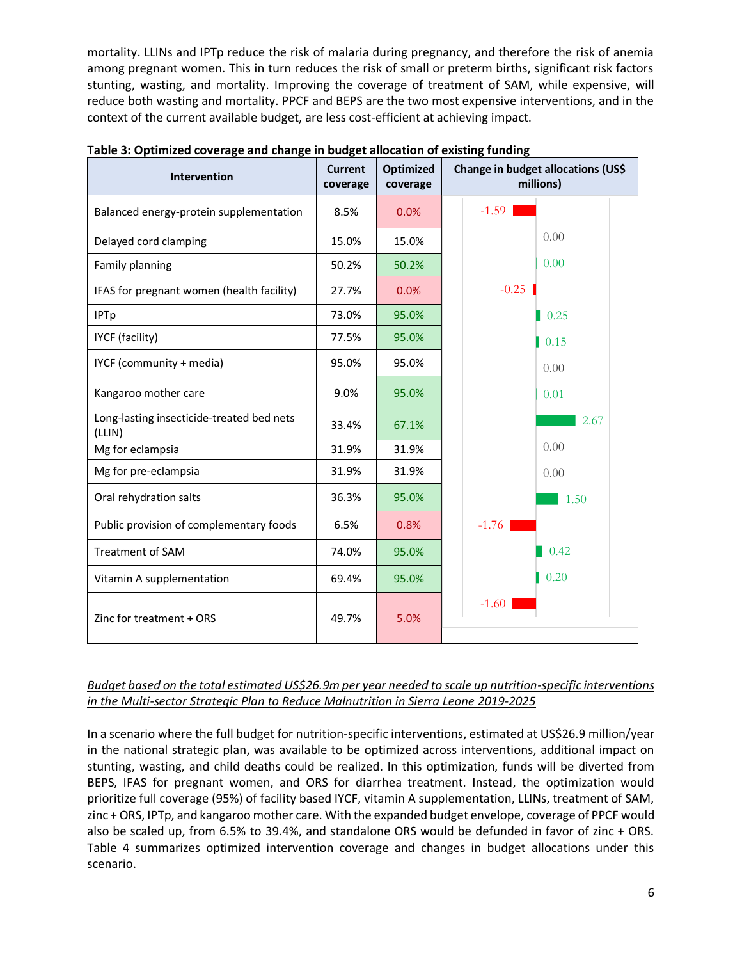mortality. LLINs and IPTp reduce the risk of malaria during pregnancy, and therefore the risk of anemia among pregnant women. This in turn reduces the risk of small or preterm births, significant risk factors stunting, wasting, and mortality. Improving the coverage of treatment of SAM, while expensive, will reduce both wasting and mortality. PPCF and BEPS are the two most expensive interventions, and in the context of the current available budget, are less cost-efficient at achieving impact.

| Intervention                                        | <b>Current</b><br>coverage | <b>Optimized</b><br>coverage | Change in budget allocations (US\$<br>millions) |  |  |  |
|-----------------------------------------------------|----------------------------|------------------------------|-------------------------------------------------|--|--|--|
| Balanced energy-protein supplementation             | 8.5%                       | 0.0%                         | $-1.59$                                         |  |  |  |
| Delayed cord clamping                               | 15.0%                      | 15.0%                        | 0.00                                            |  |  |  |
| Family planning                                     | 50.2%                      | 50.2%                        | 0.00                                            |  |  |  |
| IFAS for pregnant women (health facility)           | 27.7%                      | 0.0%                         | $-0.25$                                         |  |  |  |
| <b>IPTp</b>                                         | 73.0%                      | 95.0%                        | $\parallel$ 0.25                                |  |  |  |
| IYCF (facility)                                     | 77.5%                      | 95.0%                        | 0.15                                            |  |  |  |
| IYCF (community + media)                            | 95.0%                      | 95.0%                        | 0.00                                            |  |  |  |
| Kangaroo mother care                                | 9.0%                       | 95.0%                        | 0.01                                            |  |  |  |
| Long-lasting insecticide-treated bed nets<br>(LLIN) | 33.4%                      | 67.1%                        | 2.67                                            |  |  |  |
| Mg for eclampsia                                    | 31.9%                      | 31.9%                        | 0.00                                            |  |  |  |
| Mg for pre-eclampsia                                | 31.9%                      | 31.9%                        | 0.00                                            |  |  |  |
| Oral rehydration salts                              | 36.3%                      | 95.0%                        | 1.50                                            |  |  |  |
| Public provision of complementary foods             | 6.5%                       | 0.8%                         | $-1.76$                                         |  |  |  |
| Treatment of SAM                                    | 74.0%                      | 95.0%                        | 0.42                                            |  |  |  |
| Vitamin A supplementation                           | 69.4%                      | 95.0%                        | 0.20                                            |  |  |  |
| Zinc for treatment + ORS                            | 49.7%                      | 5.0%                         | $-1.60$                                         |  |  |  |

**Table 3: Optimized coverage and change in budget allocation of existing funding**

## *Budget based on the total estimated US\$26.9m per year needed to scale up nutrition-specific interventions in the Multi-sector Strategic Plan to Reduce Malnutrition in Sierra Leone 2019-2025*

In a scenario where the full budget for nutrition-specific interventions, estimated at US\$26.9 million/year in the national strategic plan, was available to be optimized across interventions, additional impact on stunting, wasting, and child deaths could be realized. In this optimization, funds will be diverted from BEPS, IFAS for pregnant women, and ORS for diarrhea treatment. Instead, the optimization would prioritize full coverage (95%) of facility based IYCF, vitamin A supplementation, LLINs, treatment of SAM, zinc + ORS, IPTp, and kangaroo mother care. With the expanded budget envelope, coverage of PPCF would also be scaled up, from 6.5% to 39.4%, and standalone ORS would be defunded in favor of zinc + ORS. Table 4 summarizes optimized intervention coverage and changes in budget allocations under this scenario.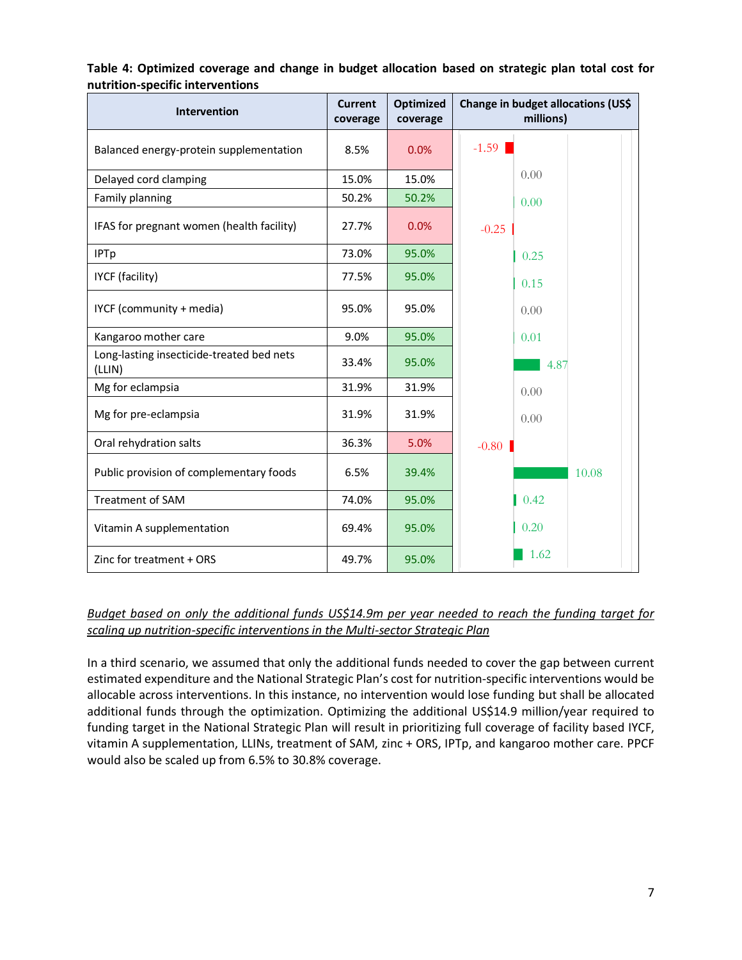| Table 4: Optimized coverage and change in budget allocation based on strategic plan total cost for |  |  |  |
|----------------------------------------------------------------------------------------------------|--|--|--|
| nutrition-specific interventions                                                                   |  |  |  |

| <b>Intervention</b>                                 | <b>Current</b><br>coverage | <b>Optimized</b><br>coverage | Change in budget allocations (US\$<br>millions) |  |  |  |
|-----------------------------------------------------|----------------------------|------------------------------|-------------------------------------------------|--|--|--|
| Balanced energy-protein supplementation             | 8.5%                       | 0.0%                         | $-1.59$                                         |  |  |  |
| Delayed cord clamping                               | 15.0%                      | 15.0%                        | 0.00                                            |  |  |  |
| Family planning                                     | 50.2%                      | 50.2%                        | 0.00                                            |  |  |  |
| IFAS for pregnant women (health facility)           | 27.7%                      | 0.0%                         | $-0.25$                                         |  |  |  |
| <b>IPTp</b>                                         | 73.0%                      | 95.0%                        | 0.25                                            |  |  |  |
| IYCF (facility)                                     | 77.5%                      | 95.0%                        | 0.15                                            |  |  |  |
| IYCF (community + media)                            | 95.0%                      | 95.0%                        | 0.00                                            |  |  |  |
| Kangaroo mother care                                | 9.0%                       | 95.0%                        | 0.01                                            |  |  |  |
| Long-lasting insecticide-treated bed nets<br>(LLIN) | 33.4%                      | 95.0%                        | 4.87                                            |  |  |  |
| Mg for eclampsia                                    | 31.9%                      | 31.9%                        | 0.00                                            |  |  |  |
| Mg for pre-eclampsia                                | 31.9%                      | 31.9%                        | 0.00                                            |  |  |  |
| Oral rehydration salts                              | 36.3%                      | 5.0%                         | $-0.80$                                         |  |  |  |
| Public provision of complementary foods             | 6.5%                       | 39.4%                        | 10.08                                           |  |  |  |
| Treatment of SAM                                    | 74.0%                      | 95.0%                        | 0.42                                            |  |  |  |
| Vitamin A supplementation                           | 69.4%                      | 95.0%                        | 0.20                                            |  |  |  |
| Zinc for treatment + ORS                            | 49.7%                      | 95.0%                        | 1.62                                            |  |  |  |

# *Budget based on only the additional funds US\$14.9m per year needed to reach the funding target for scaling up nutrition-specific interventions in the Multi-sector Strategic Plan*

In a third scenario, we assumed that only the additional funds needed to cover the gap between current estimated expenditure and the National Strategic Plan's cost for nutrition-specific interventions would be allocable across interventions. In this instance, no intervention would lose funding but shall be allocated additional funds through the optimization. Optimizing the additional US\$14.9 million/year required to funding target in the National Strategic Plan will result in prioritizing full coverage of facility based IYCF, vitamin A supplementation, LLINs, treatment of SAM, zinc + ORS, IPTp, and kangaroo mother care. PPCF would also be scaled up from 6.5% to 30.8% coverage.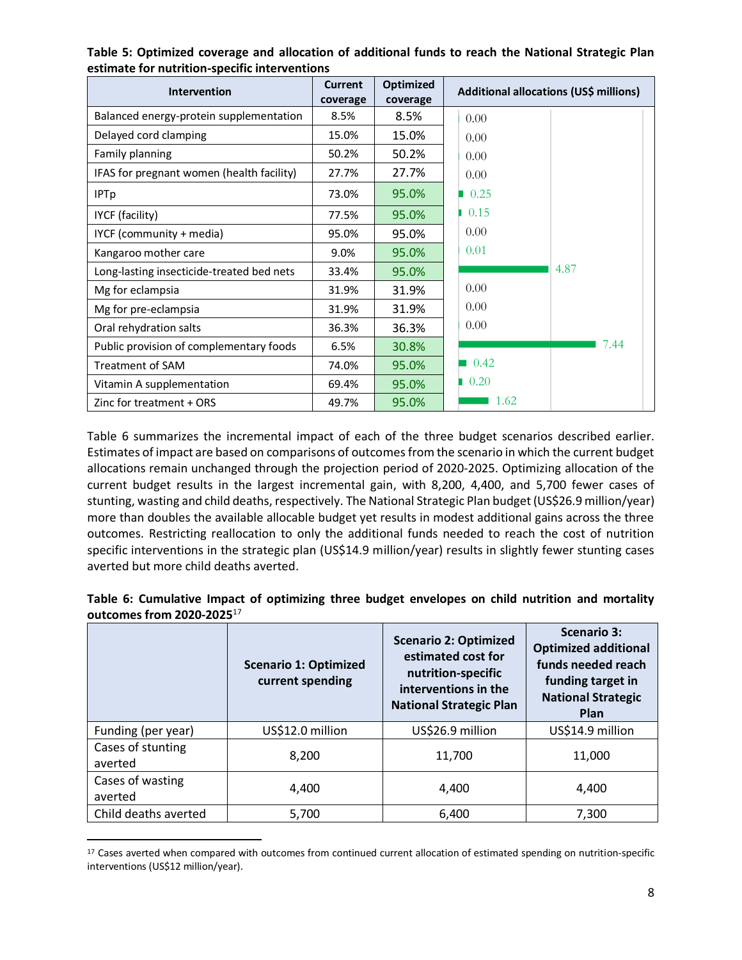| <b>Intervention</b>                       | <b>Current</b><br>coverage | <b>Optimized</b><br>coverage | Additional allocations (US\$ millions) |
|-------------------------------------------|----------------------------|------------------------------|----------------------------------------|
| Balanced energy-protein supplementation   | 8.5%                       | 8.5%                         | 0.00                                   |
| Delayed cord clamping                     | 15.0%                      | 15.0%                        | 0.00                                   |
| Family planning                           | 50.2%                      | 50.2%                        | 0.00                                   |
| IFAS for pregnant women (health facility) | 27.7%                      | 27.7%                        | 0.00                                   |
| <b>IPTp</b>                               | 73.0%                      | 95.0%                        | 0.25                                   |
| IYCF (facility)                           | 77.5%                      | 95.0%                        | 0.15                                   |
| IYCF (community + media)                  | 95.0%                      | 95.0%                        | 0.00                                   |
| Kangaroo mother care                      | 9.0%                       | 95.0%                        | 0.01                                   |
| Long-lasting insecticide-treated bed nets | 33.4%                      | 95.0%                        | 4.87                                   |
| Mg for eclampsia                          | 31.9%                      | 31.9%                        | 0.00                                   |
| Mg for pre-eclampsia                      | 31.9%                      | 31.9%                        | 0.00                                   |
| Oral rehydration salts                    | 36.3%                      | 36.3%                        | 0.00                                   |
| Public provision of complementary foods   | 6.5%                       | 30.8%                        | 7.44                                   |
| <b>Treatment of SAM</b>                   | 74.0%                      | 95.0%                        | 0.42                                   |
| Vitamin A supplementation                 | 69.4%                      | 95.0%                        | $\blacksquare$ 0.20                    |
| Zinc for treatment + ORS                  | 49.7%                      | 95.0%                        | 1.62                                   |

**Table 5: Optimized coverage and allocation of additional funds to reach the National Strategic Plan estimate for nutrition-specific interventions**

Table 6 summarizes the incremental impact of each of the three budget scenarios described earlier. Estimates of impact are based on comparisons of outcomes from the scenario in which the current budget allocations remain unchanged through the projection period of 2020-2025. Optimizing allocation of the current budget results in the largest incremental gain, with 8,200, 4,400, and 5,700 fewer cases of stunting, wasting and child deaths, respectively. The National Strategic Plan budget (US\$26.9 million/year) more than doubles the available allocable budget yet results in modest additional gains across the three outcomes. Restricting reallocation to only the additional funds needed to reach the cost of nutrition specific interventions in the strategic plan (US\$14.9 million/year) results in slightly fewer stunting cases averted but more child deaths averted.

| Table 6: Cumulative Impact of optimizing three budget envelopes on child nutrition and mortality |  |  |  |  |  |
|--------------------------------------------------------------------------------------------------|--|--|--|--|--|
| outcomes from 2020-2025 $^{17}$                                                                  |  |  |  |  |  |

|                              | <b>Scenario 1: Optimized</b><br>current spending | <b>Scenario 2: Optimized</b><br>estimated cost for<br>nutrition-specific<br>interventions in the<br><b>National Strategic Plan</b> | <b>Scenario 3:</b><br><b>Optimized additional</b><br>funds needed reach<br>funding target in<br><b>National Strategic</b><br>Plan |
|------------------------------|--------------------------------------------------|------------------------------------------------------------------------------------------------------------------------------------|-----------------------------------------------------------------------------------------------------------------------------------|
| Funding (per year)           | US\$12.0 million                                 | US\$26.9 million                                                                                                                   | US\$14.9 million                                                                                                                  |
| Cases of stunting<br>averted | 8,200                                            | 11,700                                                                                                                             | 11,000                                                                                                                            |
| Cases of wasting<br>averted  | 4,400                                            | 4,400                                                                                                                              | 4,400                                                                                                                             |
| Child deaths averted         | 5,700                                            | 6,400                                                                                                                              | 7,300                                                                                                                             |

<sup>17</sup> Cases averted when compared with outcomes from continued current allocation of estimated spending on nutrition-specific interventions (US\$12 million/year).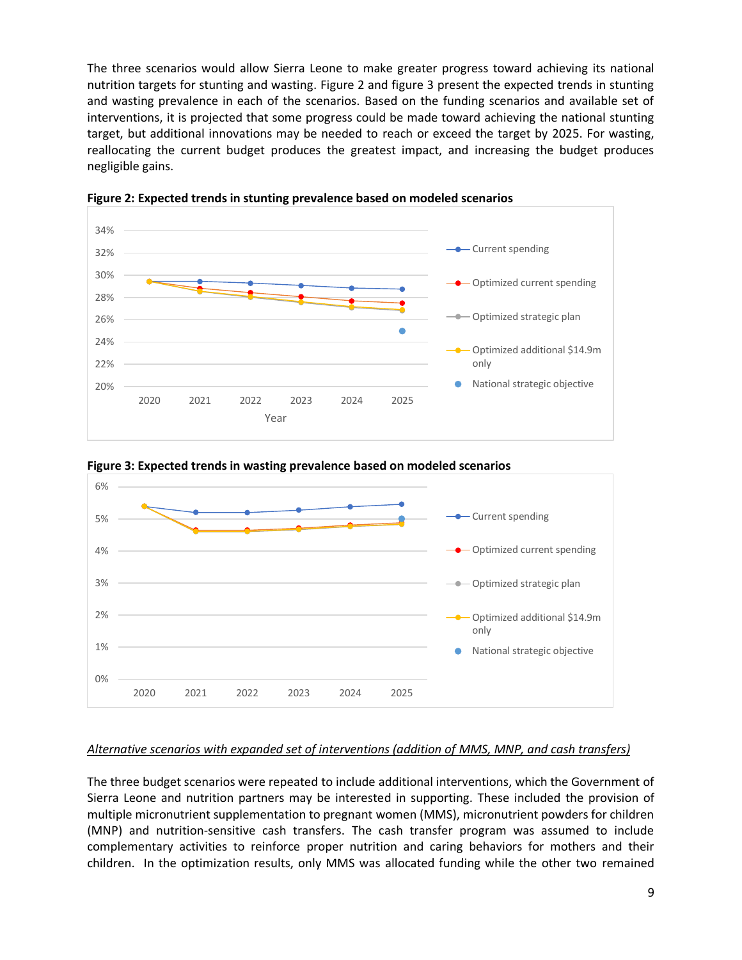The three scenarios would allow Sierra Leone to make greater progress toward achieving its national nutrition targets for stunting and wasting. Figure 2 and figure 3 present the expected trends in stunting and wasting prevalence in each of the scenarios. Based on the funding scenarios and available set of interventions, it is projected that some progress could be made toward achieving the national stunting target, but additional innovations may be needed to reach or exceed the target by 2025. For wasting, reallocating the current budget produces the greatest impact, and increasing the budget produces negligible gains.



**Figure 2: Expected trends in stunting prevalence based on modeled scenarios**



**Figure 3: Expected trends in wasting prevalence based on modeled scenarios**

#### *Alternative scenarios with expanded set of interventions (addition of MMS, MNP, and cash transfers)*

The three budget scenarios were repeated to include additional interventions, which the Government of Sierra Leone and nutrition partners may be interested in supporting. These included the provision of multiple micronutrient supplementation to pregnant women (MMS), micronutrient powders for children (MNP) and nutrition-sensitive cash transfers. The cash transfer program was assumed to include complementary activities to reinforce proper nutrition and caring behaviors for mothers and their children. In the optimization results, only MMS was allocated funding while the other two remained